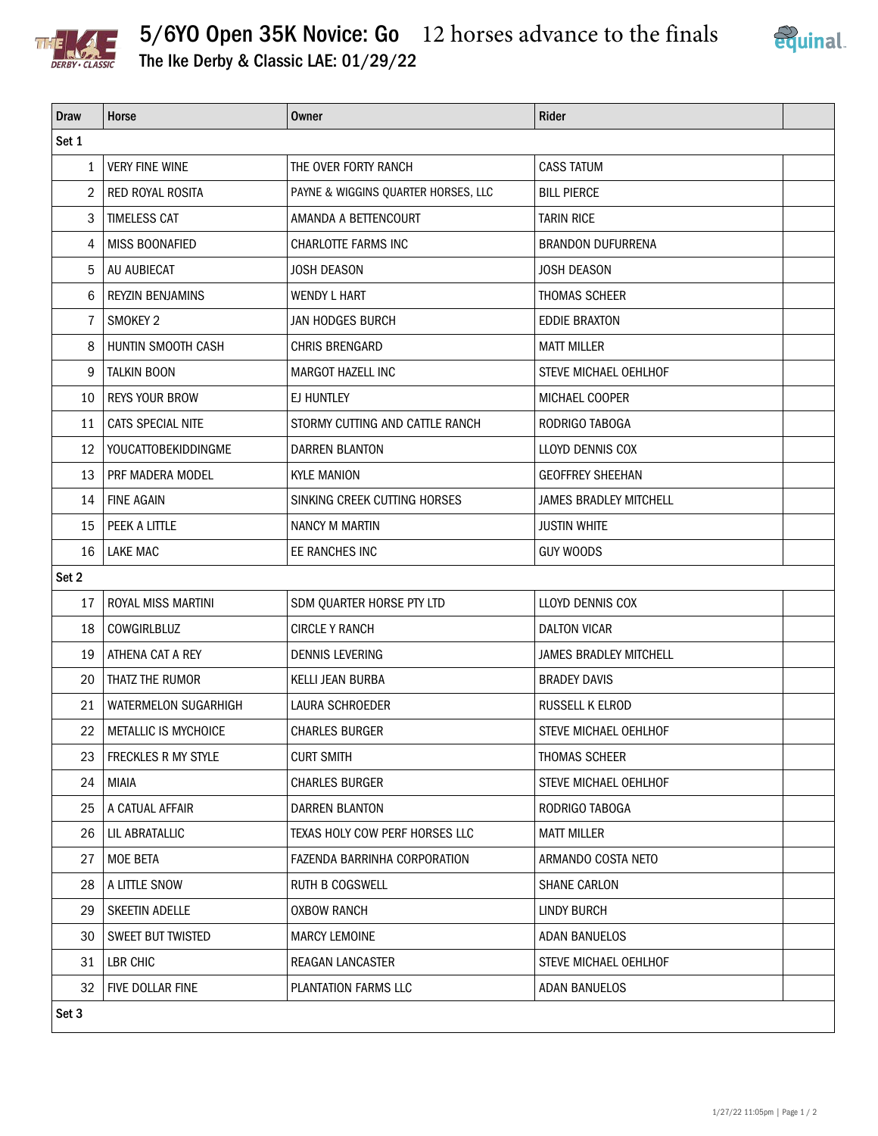

## 5/6YO Open 35K Novice: Go 12 horses advance to the finals



The Ike Derby & Classic LAE: 01/29/22

| <b>Draw</b>    | Horse                     | <b>Owner</b>                        | Rider                         |  |  |  |  |
|----------------|---------------------------|-------------------------------------|-------------------------------|--|--|--|--|
| Set 1          |                           |                                     |                               |  |  |  |  |
| 1              | <b>VERY FINE WINE</b>     | THE OVER FORTY RANCH                | <b>CASS TATUM</b>             |  |  |  |  |
| $\overline{2}$ | RED ROYAL ROSITA          | PAYNE & WIGGINS QUARTER HORSES, LLC | <b>BILL PIERCE</b>            |  |  |  |  |
| 3              | <b>TIMELESS CAT</b>       | AMANDA A BETTENCOURT                | <b>TARIN RICE</b>             |  |  |  |  |
| 4              | MISS BOONAFIED            | CHARLOTTE FARMS INC                 | <b>BRANDON DUFURRENA</b>      |  |  |  |  |
| 5              | AU AUBIECAT               | <b>JOSH DEASON</b>                  | JOSH DEASON                   |  |  |  |  |
| 6              | <b>REYZIN BENJAMINS</b>   | <b>WENDY L HART</b>                 | THOMAS SCHEER                 |  |  |  |  |
| 7              | SMOKEY 2                  | JAN HODGES BURCH                    | <b>EDDIE BRAXTON</b>          |  |  |  |  |
| 8              | HUNTIN SMOOTH CASH        | CHRIS BRENGARD                      | <b>MATT MILLER</b>            |  |  |  |  |
| 9              | <b>TALKIN BOON</b>        | MARGOT HAZELL INC                   | STEVE MICHAEL OEHLHOF         |  |  |  |  |
| 10             | <b>REYS YOUR BROW</b>     | EJ HUNTLEY                          | MICHAEL COOPER                |  |  |  |  |
| 11             | CATS SPECIAL NITE         | STORMY CUTTING AND CATTLE RANCH     | RODRIGO TABOGA                |  |  |  |  |
| 12             | YOUCATTOBEKIDDINGME       | <b>DARREN BLANTON</b>               | LLOYD DENNIS COX              |  |  |  |  |
| 13             | PRF MADERA MODEL          | <b>KYLE MANION</b>                  | <b>GEOFFREY SHEEHAN</b>       |  |  |  |  |
| 14             | <b>FINE AGAIN</b>         | SINKING CREEK CUTTING HORSES        | <b>JAMES BRADLEY MITCHELL</b> |  |  |  |  |
| 15             | PEEK A LITTLE             | NANCY M MARTIN                      | <b>JUSTIN WHITE</b>           |  |  |  |  |
| 16             | <b>LAKE MAC</b>           | EE RANCHES INC                      | <b>GUY WOODS</b>              |  |  |  |  |
| Set 2          |                           |                                     |                               |  |  |  |  |
| 17             | <b>ROYAL MISS MARTINI</b> | SDM QUARTER HORSE PTY LTD           | LLOYD DENNIS COX              |  |  |  |  |
| 18             | <b>COWGIRLBLUZ</b>        | <b>CIRCLE Y RANCH</b>               | <b>DALTON VICAR</b>           |  |  |  |  |
| 19             | ATHENA CAT A REY          | <b>DENNIS LEVERING</b>              | JAMES BRADLEY MITCHELL        |  |  |  |  |
| 20             | THATZ THE RUMOR           | KELLI JEAN BURBA                    | <b>BRADEY DAVIS</b>           |  |  |  |  |
| 21             | WATERMELON SUGARHIGH      | LAURA SCHROEDER                     | RUSSELL K ELROD               |  |  |  |  |
| 22             | METALLIC IS MYCHOICE      | <b>CHARLES BURGER</b>               | STEVE MICHAEL OEHLHOF         |  |  |  |  |
| 23             | FRECKLES R MY STYLE       | <b>CURT SMITH</b>                   | THOMAS SCHEER                 |  |  |  |  |
| 24             | MIAIA                     | <b>CHARLES BURGER</b>               | STEVE MICHAEL OEHLHOF         |  |  |  |  |
| 25             | A CATUAL AFFAIR           | DARREN BLANTON                      | RODRIGO TABOGA                |  |  |  |  |
| 26             | LIL ABRATALLIC            | TEXAS HOLY COW PERF HORSES LLC      | <b>MATT MILLER</b>            |  |  |  |  |
| 27             | MOE BETA                  | FAZENDA BARRINHA CORPORATION        | ARMANDO COSTA NETO            |  |  |  |  |
| 28             | A LITTLE SNOW             | <b>RUTH B COGSWELL</b>              | <b>SHANE CARLON</b>           |  |  |  |  |
| 29             | SKEETIN ADELLE            | <b>OXBOW RANCH</b>                  | <b>LINDY BURCH</b>            |  |  |  |  |
| 30             | SWEET BUT TWISTED         | <b>MARCY LEMOINE</b>                | ADAN BANUELOS                 |  |  |  |  |
| 31             | LBR CHIC                  | <b>REAGAN LANCASTER</b>             | STEVE MICHAEL OEHLHOF         |  |  |  |  |
| 32             | FIVE DOLLAR FINE          | PLANTATION FARMS LLC                | ADAN BANUELOS                 |  |  |  |  |
| Set 3          |                           |                                     |                               |  |  |  |  |